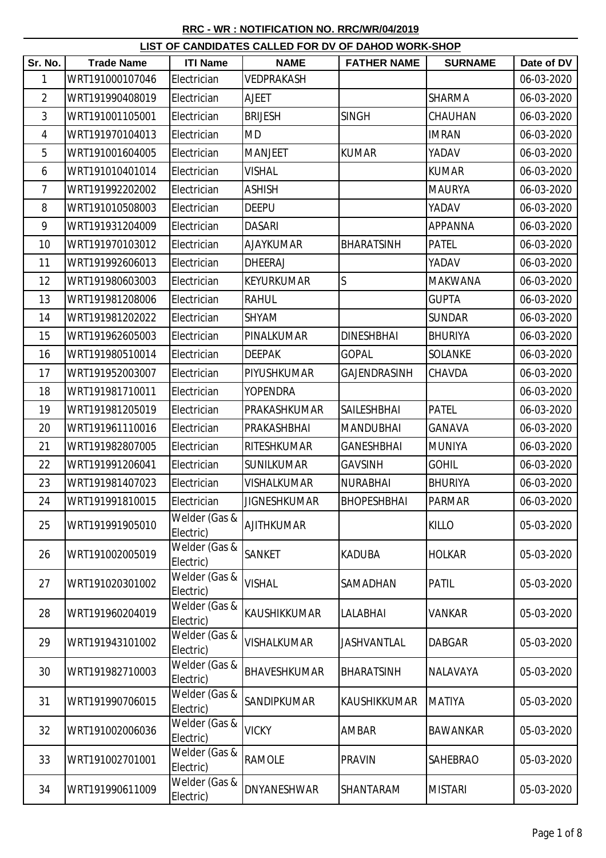## **RRC - WR : NOTIFICATION NO. RRC/WR/04/2019**

| LIST OF CANDIDATES CALLED FOR DV OF DAHOD WORK-SHOP |                   |                            |                     |                    |                 |            |  |  |
|-----------------------------------------------------|-------------------|----------------------------|---------------------|--------------------|-----------------|------------|--|--|
| Sr. No.                                             | <b>Trade Name</b> | <b>ITI Name</b>            | <b>NAME</b>         | <b>FATHER NAME</b> | <b>SURNAME</b>  | Date of DV |  |  |
| 1                                                   | WRT191000107046   | Electrician                | VEDPRAKASH          |                    |                 | 06-03-2020 |  |  |
| $\overline{2}$                                      | WRT191990408019   | Electrician                | <b>AJEET</b>        |                    | <b>SHARMA</b>   | 06-03-2020 |  |  |
| 3                                                   | WRT191001105001   | Electrician                | <b>BRIJESH</b>      | <b>SINGH</b>       | CHAUHAN         | 06-03-2020 |  |  |
| $\overline{4}$                                      | WRT191970104013   | Electrician                | <b>MD</b>           |                    | <b>IMRAN</b>    | 06-03-2020 |  |  |
| 5                                                   | WRT191001604005   | Electrician                | <b>MANJEET</b>      | <b>KUMAR</b>       | YADAV           | 06-03-2020 |  |  |
| 6                                                   | WRT191010401014   | Electrician                | VISHAL              |                    | <b>KUMAR</b>    | 06-03-2020 |  |  |
| $\overline{7}$                                      | WRT191992202002   | Electrician                | <b>ASHISH</b>       |                    | <b>MAURYA</b>   | 06-03-2020 |  |  |
| 8                                                   | WRT191010508003   | Electrician                | <b>DEEPU</b>        |                    | YADAV           | 06-03-2020 |  |  |
| 9                                                   | WRT191931204009   | Electrician                | <b>DASARI</b>       |                    | <b>APPANNA</b>  | 06-03-2020 |  |  |
| 10                                                  | WRT191970103012   | Electrician                | <b>AJAYKUMAR</b>    | <b>BHARATSINH</b>  | <b>PATEL</b>    | 06-03-2020 |  |  |
| 11                                                  | WRT191992606013   | Electrician                | <b>DHEERAJ</b>      |                    | YADAV           | 06-03-2020 |  |  |
| 12                                                  | WRT191980603003   | Electrician                | <b>KEYURKUMAR</b>   | $\mathsf S$        | <b>MAKWANA</b>  | 06-03-2020 |  |  |
| 13                                                  | WRT191981208006   | Electrician                | RAHUL               |                    | <b>GUPTA</b>    | 06-03-2020 |  |  |
| 14                                                  | WRT191981202022   | Electrician                | SHYAM               |                    | <b>SUNDAR</b>   | 06-03-2020 |  |  |
| 15                                                  | WRT191962605003   | Electrician                | PINALKUMAR          | <b>DINESHBHAI</b>  | <b>BHURIYA</b>  | 06-03-2020 |  |  |
| 16                                                  | WRT191980510014   | Electrician                | DEEPAK              | <b>GOPAL</b>       | <b>SOLANKE</b>  | 06-03-2020 |  |  |
| 17                                                  | WRT191952003007   | Electrician                | PIYUSHKUMAR         | GAJENDRASINH       | CHAVDA          | 06-03-2020 |  |  |
| 18                                                  | WRT191981710011   | Electrician                | <b>YOPENDRA</b>     |                    |                 | 06-03-2020 |  |  |
| 19                                                  | WRT191981205019   | Electrician                | PRAKASHKUMAR        | SAILESHBHAI        | <b>PATEL</b>    | 06-03-2020 |  |  |
| 20                                                  | WRT191961110016   | Electrician                | PRAKASHBHAI         | <b>MANDUBHAI</b>   | <b>GANAVA</b>   | 06-03-2020 |  |  |
| 21                                                  | WRT191982807005   | Electrician                | RITESHKUMAR         | <b>GANESHBHAI</b>  | <b>MUNIYA</b>   | 06-03-2020 |  |  |
| 22                                                  | WRT191991206041   | Electrician                | <b>SUNILKUMAR</b>   | <b>GAVSINH</b>     | <b>GOHIL</b>    | 06-03-2020 |  |  |
| 23                                                  | WRT191981407023   | Electrician                | VISHALKUMAR         | <b>NURABHAI</b>    | <b>BHURIYA</b>  | 06-03-2020 |  |  |
| 24                                                  | WRT191991810015   | Electrician                | <b>JIGNESHKUMAR</b> | <b>BHOPESHBHAI</b> | <b>PARMAR</b>   | 06-03-2020 |  |  |
| 25                                                  | WRT191991905010   | Welder (Gas &<br>Electric) | <b>AJITHKUMAR</b>   |                    | <b>KILLO</b>    | 05-03-2020 |  |  |
| 26                                                  | WRT191002005019   | Welder (Gas &<br>Electric) | <b>SANKET</b>       | <b>KADUBA</b>      | <b>HOLKAR</b>   | 05-03-2020 |  |  |
| 27                                                  | WRT191020301002   | Welder (Gas &<br>Electric) | <b>VISHAL</b>       | SAMADHAN           | <b>PATIL</b>    | 05-03-2020 |  |  |
| 28                                                  | WRT191960204019   | Welder (Gas &<br>Electric) | <b>KAUSHIKKUMAR</b> | LALABHAI           | VANKAR          | 05-03-2020 |  |  |
| 29                                                  | WRT191943101002   | Welder (Gas &<br>Electric) | VISHALKUMAR         | JASHVANTLAL        | <b>DABGAR</b>   | 05-03-2020 |  |  |
| 30                                                  | WRT191982710003   | Welder (Gas &<br>Electric) | BHAVESHKUMAR        | <b>BHARATSINH</b>  | NALAVAYA        | 05-03-2020 |  |  |
| 31                                                  | WRT191990706015   | Welder (Gas &<br>Electric) | SANDIPKUMAR         | KAUSHIKKUMAR       | <b>MATIYA</b>   | 05-03-2020 |  |  |
| 32                                                  | WRT191002006036   | Welder (Gas &<br>Electric) | <b>VICKY</b>        | AMBAR              | <b>BAWANKAR</b> | 05-03-2020 |  |  |
| 33                                                  | WRT191002701001   | Welder (Gas &<br>Electric) | <b>RAMOLE</b>       | <b>PRAVIN</b>      | <b>SAHEBRAO</b> | 05-03-2020 |  |  |
| 34                                                  | WRT191990611009   | Welder (Gas &<br>Electric) | <b>DNYANESHWAR</b>  | <b>SHANTARAM</b>   | <b>MISTARI</b>  | 05-03-2020 |  |  |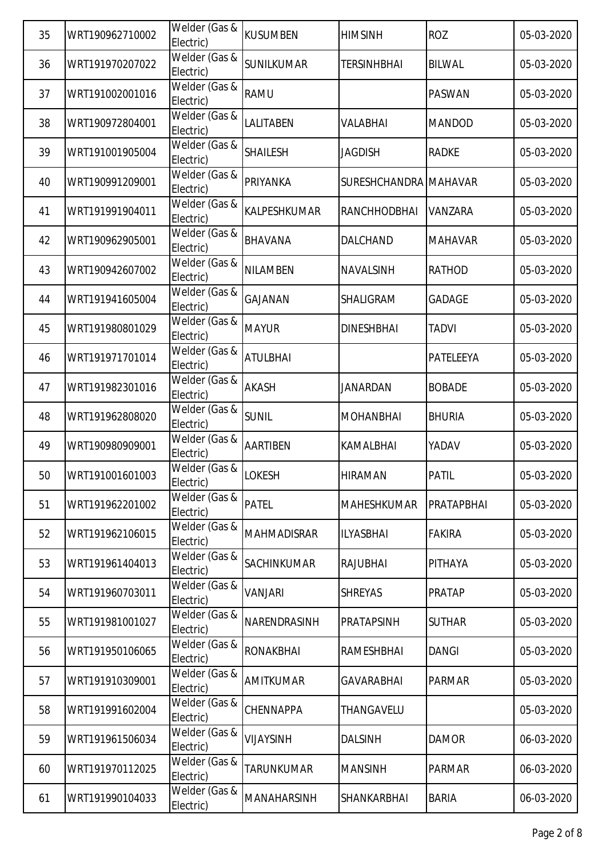| 35 | WRT190962710002 | Welder (Gas &<br>Electric) | <b>KUSUMBEN</b>     | <b>HIMSINH</b>        | <b>ROZ</b>     | 05-03-2020 |
|----|-----------------|----------------------------|---------------------|-----------------------|----------------|------------|
| 36 | WRT191970207022 | Welder (Gas &<br>Electric) | <b>SUNILKUMAR</b>   | <b>TERSINHBHAI</b>    | <b>BILWAL</b>  | 05-03-2020 |
| 37 | WRT191002001016 | Welder (Gas &<br>Electric) | <b>RAMU</b>         |                       | <b>PASWAN</b>  | 05-03-2020 |
| 38 | WRT190972804001 | Welder (Gas &<br>Electric) | LALITABEN           | VALABHAI              | <b>MANDOD</b>  | 05-03-2020 |
| 39 | WRT191001905004 | Welder (Gas &<br>Electric) | <b>SHAILESH</b>     | JAGDISH               | <b>RADKE</b>   | 05-03-2020 |
| 40 | WRT190991209001 | Welder (Gas &<br>Electric) | PRIYANKA            | SURESHCHANDRA MAHAVAR |                | 05-03-2020 |
| 41 | WRT191991904011 | Welder (Gas &<br>Electric) | <b>KALPESHKUMAR</b> | RANCHHODBHAI          | VANZARA        | 05-03-2020 |
| 42 | WRT190962905001 | Welder (Gas &<br>Electric) | <b>BHAVANA</b>      | DALCHAND              | <b>MAHAVAR</b> | 05-03-2020 |
| 43 | WRT190942607002 | Welder (Gas &<br>Electric) | <b>NILAMBEN</b>     | <b>NAVALSINH</b>      | <b>RATHOD</b>  | 05-03-2020 |
| 44 | WRT191941605004 | Welder (Gas &<br>Electric) | <b>GAJANAN</b>      | SHALIGRAM             | <b>GADAGE</b>  | 05-03-2020 |
| 45 | WRT191980801029 | Welder (Gas &<br>Electric) | <b>MAYUR</b>        | <b>DINESHBHAI</b>     | <b>TADVI</b>   | 05-03-2020 |
| 46 | WRT191971701014 | Welder (Gas &<br>Electric) | <b>ATULBHAI</b>     |                       | PATELEEYA      | 05-03-2020 |
| 47 | WRT191982301016 | Welder (Gas &<br>Electric) | <b>AKASH</b>        | JANARDAN              | <b>BOBADE</b>  | 05-03-2020 |
| 48 | WRT191962808020 | Welder (Gas &<br>Electric) | <b>SUNIL</b>        | <b>MOHANBHAI</b>      | <b>BHURIA</b>  | 05-03-2020 |
| 49 | WRT190980909001 | Welder (Gas &<br>Electric) | <b>AARTIBEN</b>     | KAMALBHAI             | YADAV          | 05-03-2020 |
| 50 | WRT191001601003 | Welder (Gas &<br>Electric) | <b>LOKESH</b>       | <b>HIRAMAN</b>        | <b>PATIL</b>   | 05-03-2020 |
| 51 | WRT191962201002 | Welder (Gas &<br>Electric) | <b>PATEL</b>        | <b>MAHESHKUMAR</b>    | PRATAPBHAI     | 05-03-2020 |
| 52 | WRT191962106015 | Welder (Gas &<br>Electric) | <b>MAHMADISRAR</b>  | <b>ILYASBHAI</b>      | <b>FAKIRA</b>  | 05-03-2020 |
| 53 | WRT191961404013 | Welder (Gas &<br>Electric) | SACHINKUMAR         | <b>RAJUBHAI</b>       | PITHAYA        | 05-03-2020 |
| 54 | WRT191960703011 | Welder (Gas &<br>Electric) | <b>VANJARI</b>      | <b>SHREYAS</b>        | <b>PRATAP</b>  | 05-03-2020 |
| 55 | WRT191981001027 | Welder (Gas &<br>Electric) | NARENDRASINH        | <b>PRATAPSINH</b>     | <b>SUTHAR</b>  | 05-03-2020 |
| 56 | WRT191950106065 | Welder (Gas &<br>Electric) | <b>RONAKBHAI</b>    | <b>RAMESHBHAI</b>     | <b>DANGI</b>   | 05-03-2020 |
| 57 | WRT191910309001 | Welder (Gas &<br>Electric) | <b>AMITKUMAR</b>    | <b>GAVARABHAI</b>     | <b>PARMAR</b>  | 05-03-2020 |
| 58 | WRT191991602004 | Welder (Gas &<br>Electric) | CHENNAPPA           | THANGAVELU            |                | 05-03-2020 |
| 59 | WRT191961506034 | Welder (Gas &<br>Electric) | <b>VIJAYSINH</b>    | <b>DALSINH</b>        | <b>DAMOR</b>   | 06-03-2020 |
| 60 | WRT191970112025 | Welder (Gas &<br>Electric) | <b>TARUNKUMAR</b>   | <b>MANSINH</b>        | <b>PARMAR</b>  | 06-03-2020 |
| 61 | WRT191990104033 | Welder (Gas &<br>Electric) | <b>MANAHARSINH</b>  | SHANKARBHAI           | <b>BARIA</b>   | 06-03-2020 |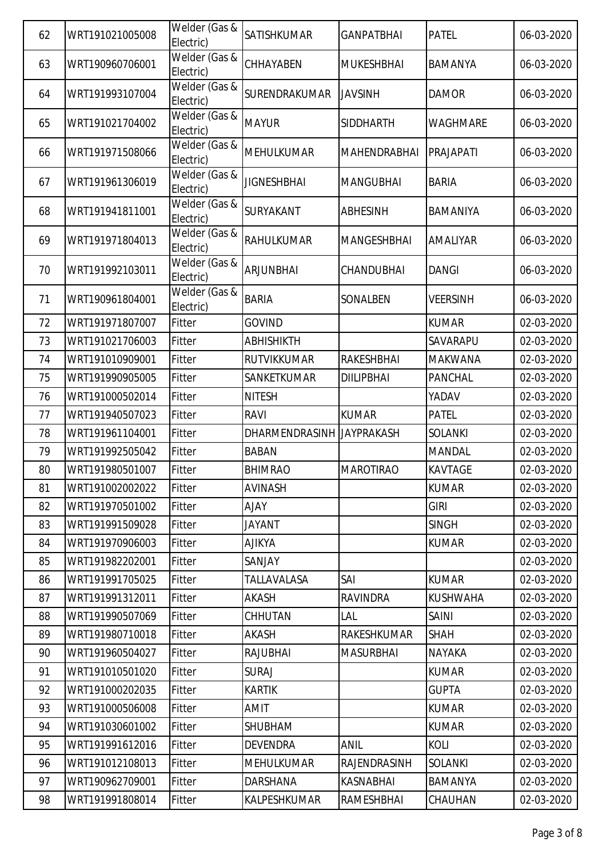| 62 | WRT191021005008 | Welder (Gas &<br>Electric) | SATISHKUMAR        | <b>GANPATBHAI</b>   | <b>PATEL</b>    | 06-03-2020 |
|----|-----------------|----------------------------|--------------------|---------------------|-----------------|------------|
| 63 | WRT190960706001 | Welder (Gas &<br>Electric) | CHHAYABEN          | <b>MUKESHBHAI</b>   | <b>BAMANYA</b>  | 06-03-2020 |
| 64 | WRT191993107004 | Welder (Gas &<br>Electric) | SURENDRAKUMAR      | <b>JAVSINH</b>      | <b>DAMOR</b>    | 06-03-2020 |
| 65 | WRT191021704002 | Welder (Gas &<br>Electric) | <b>MAYUR</b>       | <b>SIDDHARTH</b>    | <b>WAGHMARE</b> | 06-03-2020 |
| 66 | WRT191971508066 | Welder (Gas &<br>Electric) | <b>MEHULKUMAR</b>  | <b>MAHENDRABHAI</b> | PRAJAPATI       | 06-03-2020 |
| 67 | WRT191961306019 | Welder (Gas &<br>Electric) | <b>JIGNESHBHAI</b> | <b>MANGUBHAI</b>    | <b>BARIA</b>    | 06-03-2020 |
| 68 | WRT191941811001 | Welder (Gas &<br>Electric) | SURYAKANT          | <b>ABHESINH</b>     | BAMANIYA        | 06-03-2020 |
| 69 | WRT191971804013 | Welder (Gas &<br>Electric) | <b>RAHULKUMAR</b>  | <b>MANGESHBHAI</b>  | AMALIYAR        | 06-03-2020 |
| 70 | WRT191992103011 | Welder (Gas &<br>Electric) | <b>ARJUNBHAI</b>   | CHANDUBHAI          | <b>DANGI</b>    | 06-03-2020 |
| 71 | WRT190961804001 | Welder (Gas &<br>Electric) | <b>BARIA</b>       | SONALBEN            | <b>VEERSINH</b> | 06-03-2020 |
| 72 | WRT191971807007 | Fitter                     | <b>GOVIND</b>      |                     | <b>KUMAR</b>    | 02-03-2020 |
| 73 | WRT191021706003 | Fitter                     | <b>ABHISHIKTH</b>  |                     | SAVARAPU        | 02-03-2020 |
| 74 | WRT191010909001 | Fitter                     | <b>RUTVIKKUMAR</b> | <b>RAKESHBHAI</b>   | <b>MAKWANA</b>  | 02-03-2020 |
| 75 | WRT191990905005 | Fitter                     | SANKETKUMAR        | <b>DIILIPBHAI</b>   | <b>PANCHAL</b>  | 02-03-2020 |
| 76 | WRT191000502014 | Fitter                     | <b>NITESH</b>      |                     | YADAV           | 02-03-2020 |
| 77 | WRT191940507023 | Fitter                     | <b>RAVI</b>        | <b>KUMAR</b>        | <b>PATEL</b>    | 02-03-2020 |
| 78 | WRT191961104001 | Fitter                     | DHARMENDRASINH     | <b>JAYPRAKASH</b>   | <b>SOLANKI</b>  | 02-03-2020 |
| 79 | WRT191992505042 | Fitter                     | <b>BABAN</b>       |                     | <b>MANDAL</b>   | 02-03-2020 |
| 80 | WRT191980501007 | Fitter                     | <b>BHIMRAO</b>     | <b>MAROTIRAO</b>    | <b>KAVTAGE</b>  | 02-03-2020 |
| 81 | WRT191002002022 | Fitter                     | <b>AVINASH</b>     |                     | <b>KUMAR</b>    | 02-03-2020 |
| 82 | WRT191970501002 | Fitter                     | <b>AJAY</b>        |                     | <b>GIRI</b>     | 02-03-2020 |
| 83 | WRT191991509028 | Fitter                     | <b>JAYANT</b>      |                     | <b>SINGH</b>    | 02-03-2020 |
| 84 | WRT191970906003 | Fitter                     | <b>AJIKYA</b>      |                     | <b>KUMAR</b>    | 02-03-2020 |
| 85 | WRT191982202001 | Fitter                     | SANJAY             |                     |                 | 02-03-2020 |
| 86 | WRT191991705025 | <b>Fitter</b>              | <b>TALLAVALASA</b> | SAI                 | <b>KUMAR</b>    | 02-03-2020 |
| 87 | WRT191991312011 | Fitter                     | AKASH              | <b>RAVINDRA</b>     | <b>KUSHWAHA</b> | 02-03-2020 |
| 88 | WRT191990507069 | Fitter                     | CHHUTAN            | LAL                 | <b>SAINI</b>    | 02-03-2020 |
| 89 | WRT191980710018 | Fitter                     | AKASH              | RAKESHKUMAR         | <b>SHAH</b>     | 02-03-2020 |
| 90 | WRT191960504027 | Fitter                     | RAJUBHAI           | <b>MASURBHAI</b>    | <b>NAYAKA</b>   | 02-03-2020 |
| 91 | WRT191010501020 | Fitter                     | <b>SURAJ</b>       |                     | <b>KUMAR</b>    | 02-03-2020 |
| 92 | WRT191000202035 | Fitter                     | <b>KARTIK</b>      |                     | <b>GUPTA</b>    | 02-03-2020 |
| 93 | WRT191000506008 | Fitter                     | AMIT               |                     | <b>KUMAR</b>    | 02-03-2020 |
| 94 | WRT191030601002 | Fitter                     | <b>SHUBHAM</b>     |                     | <b>KUMAR</b>    | 02-03-2020 |
| 95 | WRT191991612016 | Fitter                     | <b>DEVENDRA</b>    | <b>ANIL</b>         | KOLI            | 02-03-2020 |
| 96 | WRT191012108013 | Fitter                     | <b>MEHULKUMAR</b>  | RAJENDRASINH        | <b>SOLANKI</b>  | 02-03-2020 |
| 97 | WRT190962709001 | Fitter                     | DARSHANA           | KASNABHAI           | <b>BAMANYA</b>  | 02-03-2020 |
| 98 | WRT191991808014 | Fitter                     | KALPESHKUMAR       | RAMESHBHAI          | CHAUHAN         | 02-03-2020 |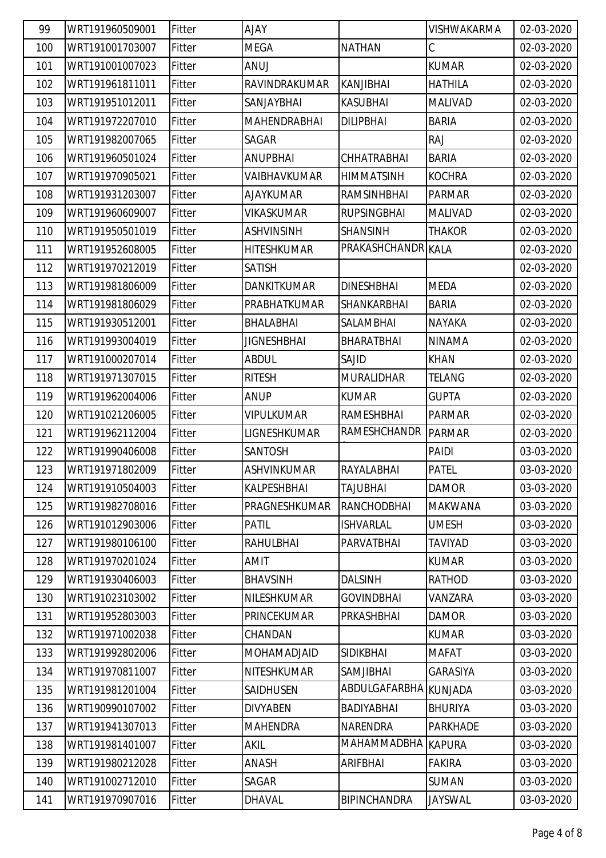| 99  | WRT191960509001 | Fitter | <b>AJAY</b>        |                       | VISHWAKARMA     | 02-03-2020 |
|-----|-----------------|--------|--------------------|-----------------------|-----------------|------------|
| 100 | WRT191001703007 | Fitter | <b>MEGA</b>        | <b>NATHAN</b>         | С               | 02-03-2020 |
| 101 | WRT191001007023 | Fitter | <b>ANUJ</b>        |                       | <b>KUMAR</b>    | 02-03-2020 |
| 102 | WRT191961811011 | Fitter | RAVINDRAKUMAR      | <b>KANJIBHAI</b>      | <b>HATHILA</b>  | 02-03-2020 |
| 103 | WRT191951012011 | Fitter | SANJAYBHAI         | <b>KASUBHAI</b>       | MALIVAD         | 02-03-2020 |
| 104 | WRT191972207010 | Fitter | MAHENDRABHAI       | <b>DILIPBHAI</b>      | <b>BARIA</b>    | 02-03-2020 |
| 105 | WRT191982007065 | Fitter | SAGAR              |                       | <b>RAJ</b>      | 02-03-2020 |
| 106 | WRT191960501024 | Fitter | <b>ANUPBHAI</b>    | CHHATRABHAI           | <b>BARIA</b>    | 02-03-2020 |
| 107 | WRT191970905021 | Fitter | VAIBHAVKUMAR       | <b>HIMMATSINH</b>     | <b>KOCHRA</b>   | 02-03-2020 |
| 108 | WRT191931203007 | Fitter | <b>AJAYKUMAR</b>   | RAMSINHBHAI           | <b>PARMAR</b>   | 02-03-2020 |
| 109 | WRT191960609007 | Fitter | VIKASKUMAR         | <b>RUPSINGBHAI</b>    | <b>MALIVAD</b>  | 02-03-2020 |
| 110 | WRT191950501019 | Fitter | <b>ASHVINSINH</b>  | <b>SHANSINH</b>       | <b>THAKOR</b>   | 02-03-2020 |
| 111 | WRT191952608005 | Fitter | <b>HITESHKUMAR</b> | PRAKASHCHANDR KALA    |                 | 02-03-2020 |
| 112 | WRT191970212019 | Fitter | <b>SATISH</b>      |                       |                 | 02-03-2020 |
| 113 | WRT191981806009 | Fitter | <b>DANKITKUMAR</b> | <b>DINESHBHAI</b>     | <b>MEDA</b>     | 02-03-2020 |
| 114 | WRT191981806029 | Fitter | PRABHATKUMAR       | SHANKARBHAI           | <b>BARIA</b>    | 02-03-2020 |
| 115 | WRT191930512001 | Fitter | BHALABHAI          | SALAMBHAI             | <b>NAYAKA</b>   | 02-03-2020 |
| 116 | WRT191993004019 | Fitter | <b>JIGNESHBHAI</b> | BHARATBHAI            | <b>NINAMA</b>   | 02-03-2020 |
| 117 | WRT191000207014 | Fitter | <b>ABDUL</b>       | SAJID                 | <b>KHAN</b>     | 02-03-2020 |
| 118 | WRT191971307015 | Fitter | <b>RITESH</b>      | <b>MURALIDHAR</b>     | TELANG          | 02-03-2020 |
| 119 | WRT191962004006 | Fitter | <b>ANUP</b>        | <b>KUMAR</b>          | <b>GUPTA</b>    | 02-03-2020 |
| 120 | WRT191021206005 | Fitter | <b>VIPULKUMAR</b>  | RAMESHBHAI            | <b>PARMAR</b>   | 02-03-2020 |
| 121 | WRT191962112004 | Fitter | LIGNESHKUMAR       | RAMESHCHANDR          | <b>PARMAR</b>   | 02-03-2020 |
| 122 | WRT191990406008 | Fitter | <b>SANTOSH</b>     |                       | PAIDI           | 03-03-2020 |
| 123 | WRT191971802009 | Fitter | ASHVINKUMAR        | RAYALABHAI            | <b>PATEL</b>    | 03-03-2020 |
| 124 | WRT191910504003 | Fitter | KALPESHBHAI        | <b>TAJUBHAI</b>       | <b>DAMOR</b>    | 03-03-2020 |
| 125 | WRT191982708016 | Fitter | PRAGNESHKUMAR      | <b>RANCHODBHAI</b>    | <b>MAKWANA</b>  | 03-03-2020 |
| 126 | WRT191012903006 | Fitter | <b>PATIL</b>       | <b>ISHVARLAL</b>      | <b>UMESH</b>    | 03-03-2020 |
| 127 | WRT191980106100 | Fitter | RAHULBHAI          | PARVATBHAI            | <b>TAVIYAD</b>  | 03-03-2020 |
| 128 | WRT191970201024 | Fitter | AMIT               |                       | <b>KUMAR</b>    | 03-03-2020 |
| 129 | WRT191930406003 | Fitter | <b>BHAVSINH</b>    | <b>DALSINH</b>        | <b>RATHOD</b>   | 03-03-2020 |
| 130 | WRT191023103002 | Fitter | NILESHKUMAR        | <b>GOVINDBHAI</b>     | VANZARA         | 03-03-2020 |
| 131 | WRT191952803003 | Fitter | PRINCEKUMAR        | PRKASHBHAI            | <b>DAMOR</b>    | 03-03-2020 |
| 132 | WRT191971002038 | Fitter | CHANDAN            |                       | <b>KUMAR</b>    | 03-03-2020 |
| 133 | WRT191992802006 | Fitter | <b>MOHAMADJAID</b> | <b>SIDIKBHAI</b>      | <b>MAFAT</b>    | 03-03-2020 |
| 134 | WRT191970811007 | Fitter | NITESHKUMAR        | SAMJIBHAI             | <b>GARASIYA</b> | 03-03-2020 |
| 135 | WRT191981201004 | Fitter | SAIDHUSEN          | ABDULGAFARBHA KUNJADA |                 | 03-03-2020 |
| 136 | WRT190990107002 | Fitter | <b>DIVYABEN</b>    | <b>BADIYABHAI</b>     | <b>BHURIYA</b>  | 03-03-2020 |
| 137 | WRT191941307013 | Fitter | <b>MAHENDRA</b>    | <b>NARENDRA</b>       | <b>PARKHADE</b> | 03-03-2020 |
| 138 | WRT191981401007 | Fitter | AKIL               | <b>MAHAMMADBHA</b>    | <b>KAPURA</b>   | 03-03-2020 |
| 139 | WRT191980212028 | Fitter | ANASH              | ARIFBHAI              | <b>FAKIRA</b>   | 03-03-2020 |
| 140 | WRT191002712010 | Fitter | SAGAR              |                       | <b>SUMAN</b>    | 03-03-2020 |
| 141 | WRT191970907016 | Fitter | DHAVAL             | <b>BIPINCHANDRA</b>   | JAYSWAL         | 03-03-2020 |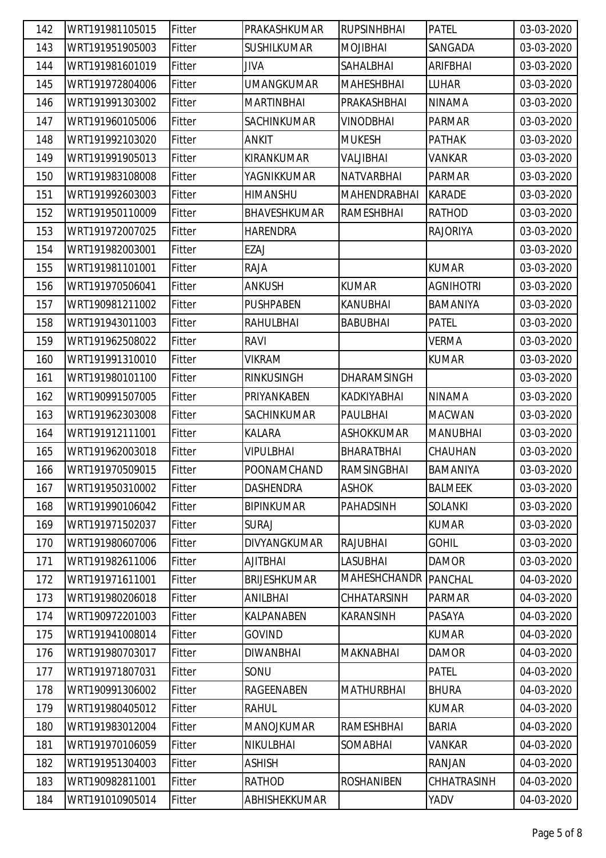| 142 | WRT191981105015 | Fitter        | PRAKASHKUMAR        | <b>RUPSINHBHAI</b>  | <b>PATEL</b>     | 03-03-2020 |
|-----|-----------------|---------------|---------------------|---------------------|------------------|------------|
| 143 | WRT191951905003 | Fitter        | <b>SUSHILKUMAR</b>  | <b>MOJIBHAI</b>     | SANGADA          | 03-03-2020 |
| 144 | WRT191981601019 | Fitter        | JIVA                | SAHALBHAI           | <b>ARIFBHAI</b>  | 03-03-2020 |
| 145 | WRT191972804006 | Fitter        | <b>UMANGKUMAR</b>   | <b>MAHESHBHAI</b>   | <b>LUHAR</b>     | 03-03-2020 |
| 146 | WRT191991303002 | Fitter        | <b>MARTINBHAI</b>   | PRAKASHBHAI         | <b>NINAMA</b>    | 03-03-2020 |
| 147 | WRT191960105006 | Fitter        | <b>SACHINKUMAR</b>  | VINODBHAI           | <b>PARMAR</b>    | 03-03-2020 |
| 148 | WRT191992103020 | Fitter        | ANKIT               | <b>MUKESH</b>       | <b>PATHAK</b>    | 03-03-2020 |
| 149 | WRT191991905013 | Fitter        | KIRANKUMAR          | VALJIBHAI           | <b>VANKAR</b>    | 03-03-2020 |
| 150 | WRT191983108008 | Fitter        | YAGNIKKUMAR         | <b>NATVARBHAI</b>   | <b>PARMAR</b>    | 03-03-2020 |
| 151 | WRT191992603003 | Fitter        | <b>HIMANSHU</b>     | MAHENDRABHAI        | <b>KARADE</b>    | 03-03-2020 |
| 152 | WRT191950110009 | Fitter        | <b>BHAVESHKUMAR</b> | RAMESHBHAI          | RATHOD           | 03-03-2020 |
| 153 | WRT191972007025 | Fitter        | <b>HARENDRA</b>     |                     | <b>RAJORIYA</b>  | 03-03-2020 |
| 154 | WRT191982003001 | Fitter        | EZAJ                |                     |                  | 03-03-2020 |
| 155 | WRT191981101001 | Fitter        | RAJA                |                     | <b>KUMAR</b>     | 03-03-2020 |
| 156 | WRT191970506041 | Fitter        | <b>ANKUSH</b>       | <b>KUMAR</b>        | <b>AGNIHOTRI</b> | 03-03-2020 |
| 157 | WRT190981211002 | Fitter        | <b>PUSHPABEN</b>    | <b>KANUBHAI</b>     | <b>BAMANIYA</b>  | 03-03-2020 |
| 158 | WRT191943011003 | Fitter        | RAHULBHAI           | <b>BABUBHAI</b>     | <b>PATEL</b>     | 03-03-2020 |
| 159 | WRT191962508022 | Fitter        | <b>RAVI</b>         |                     | <b>VERMA</b>     | 03-03-2020 |
| 160 | WRT191991310010 | Fitter        | <b>VIKRAM</b>       |                     | <b>KUMAR</b>     | 03-03-2020 |
| 161 | WRT191980101100 | Fitter        | <b>RINKUSINGH</b>   | <b>DHARAMSINGH</b>  |                  | 03-03-2020 |
| 162 | WRT190991507005 | Fitter        | PRIYANKABEN         | KADKIYABHAI         | <b>NINAMA</b>    | 03-03-2020 |
| 163 | WRT191962303008 | Fitter        | <b>SACHINKUMAR</b>  | PAULBHAI            | <b>MACWAN</b>    | 03-03-2020 |
| 164 | WRT191912111001 | Fitter        | KALARA              | <b>ASHOKKUMAR</b>   | <b>MANUBHAI</b>  | 03-03-2020 |
| 165 | WRT191962003018 | Fitter        | <b>VIPULBHAI</b>    | <b>BHARATBHAI</b>   | CHAUHAN          | 03-03-2020 |
| 166 | WRT191970509015 | Fitter        | POONAMCHAND         | <b>RAMSINGBHAI</b>  | BAMANIYA         | 03-03-2020 |
| 167 | WRT191950310002 | Fitter        | <b>DASHENDRA</b>    | <b>ASHOK</b>        | <b>BALMEEK</b>   | 03-03-2020 |
| 168 | WRT191990106042 | Fitter        | <b>BIPINKUMAR</b>   | <b>PAHADSINH</b>    | <b>SOLANKI</b>   | 03-03-2020 |
| 169 | WRT191971502037 | Fitter        | <b>SURAJ</b>        |                     | <b>KUMAR</b>     | 03-03-2020 |
| 170 | WRT191980607006 | <b>Fitter</b> | <b>DIVYANGKUMAR</b> | <b>RAJUBHAI</b>     | <b>GOHIL</b>     | 03-03-2020 |
| 171 | WRT191982611006 | Fitter        | <b>AJITBHAI</b>     | <b>LASUBHAI</b>     | <b>DAMOR</b>     | 03-03-2020 |
| 172 | WRT191971611001 | Fitter        | <b>BRIJESHKUMAR</b> | <b>MAHESHCHANDR</b> | <b>PANCHAL</b>   | 04-03-2020 |
| 173 | WRT191980206018 | Fitter        | ANILBHAI            | <b>CHHATARSINH</b>  | <b>PARMAR</b>    | 04-03-2020 |
| 174 | WRT190972201003 | Fitter        | KALPANABEN          | <b>KARANSINH</b>    | PASAYA           | 04-03-2020 |
| 175 | WRT191941008014 | Fitter        | <b>GOVIND</b>       |                     | <b>KUMAR</b>     | 04-03-2020 |
| 176 | WRT191980703017 | Fitter        | <b>DIWANBHAI</b>    | <b>MAKNABHAI</b>    | <b>DAMOR</b>     | 04-03-2020 |
| 177 | WRT191971807031 | Fitter        | SONU                |                     | <b>PATEL</b>     | 04-03-2020 |
| 178 | WRT190991306002 | Fitter        | RAGEENABEN          | <b>MATHURBHAI</b>   | <b>BHURA</b>     | 04-03-2020 |
| 179 | WRT191980405012 | Fitter        | RAHUL               |                     | <b>KUMAR</b>     | 04-03-2020 |
| 180 | WRT191983012004 | Fitter        | <b>MANOJKUMAR</b>   | RAMESHBHAI          | <b>BARIA</b>     | 04-03-2020 |
| 181 | WRT191970106059 | Fitter        | NIKULBHAI           | SOMABHAI            | <b>VANKAR</b>    | 04-03-2020 |
| 182 | WRT191951304003 | Fitter        | <b>ASHISH</b>       |                     | <b>RANJAN</b>    | 04-03-2020 |
| 183 | WRT190982811001 | Fitter        | RATHOD              | <b>ROSHANIBEN</b>   | CHHATRASINH      | 04-03-2020 |
| 184 | WRT191010905014 | Fitter        | ABHISHEKKUMAR       |                     | YADV             | 04-03-2020 |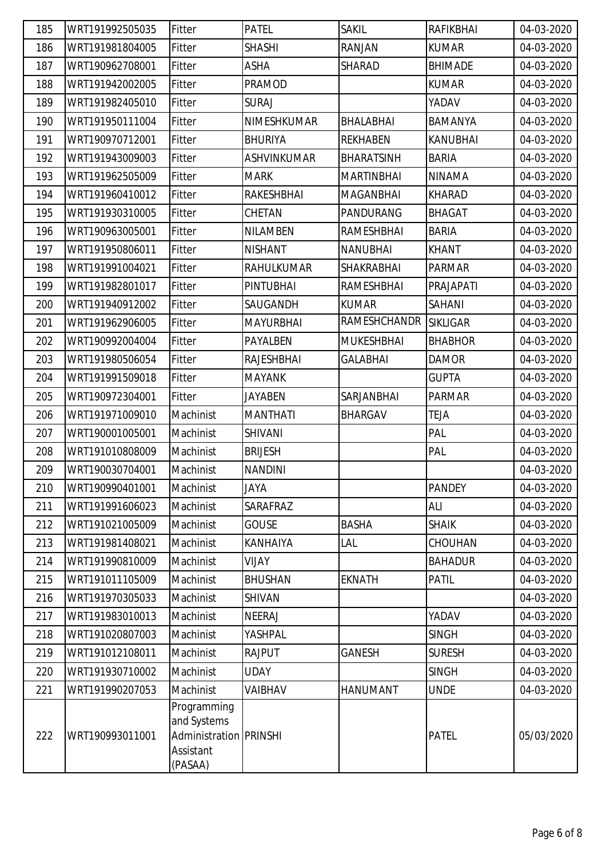| 185 | WRT191992505035 | Fitter                                                                       | <b>PATEL</b>       | <b>SAKIL</b>      | <b>RAFIKBHAI</b> | 04-03-2020 |
|-----|-----------------|------------------------------------------------------------------------------|--------------------|-------------------|------------------|------------|
| 186 | WRT191981804005 | Fitter                                                                       | <b>SHASHI</b>      | RANJAN            | <b>KUMAR</b>     | 04-03-2020 |
| 187 | WRT190962708001 | Fitter                                                                       | ASHA               | SHARAD            | <b>BHIMADE</b>   | 04-03-2020 |
| 188 | WRT191942002005 | Fitter                                                                       | <b>PRAMOD</b>      |                   | <b>KUMAR</b>     | 04-03-2020 |
| 189 | WRT191982405010 | Fitter                                                                       | <b>SURAJ</b>       |                   | YADAV            | 04-03-2020 |
| 190 | WRT191950111004 | Fitter                                                                       | NIMESHKUMAR        | BHALABHAI         | BAMANYA          | 04-03-2020 |
| 191 | WRT190970712001 | Fitter                                                                       | <b>BHURIYA</b>     | <b>REKHABEN</b>   | <b>KANUBHAI</b>  | 04-03-2020 |
| 192 | WRT191943009003 | Fitter                                                                       | <b>ASHVINKUMAR</b> | <b>BHARATSINH</b> | <b>BARIA</b>     | 04-03-2020 |
| 193 | WRT191962505009 | Fitter                                                                       | <b>MARK</b>        | <b>MARTINBHAI</b> | <b>NINAMA</b>    | 04-03-2020 |
| 194 | WRT191960410012 | Fitter                                                                       | RAKESHBHAI         | <b>MAGANBHAI</b>  | <b>KHARAD</b>    | 04-03-2020 |
| 195 | WRT191930310005 | Fitter                                                                       | CHETAN             | PANDURANG         | BHAGAT           | 04-03-2020 |
| 196 | WRT190963005001 | Fitter                                                                       | <b>NILAMBEN</b>    | RAMESHBHAI        | <b>BARIA</b>     | 04-03-2020 |
| 197 | WRT191950806011 | Fitter                                                                       | <b>NISHANT</b>     | <b>NANUBHAI</b>   | <b>KHANT</b>     | 04-03-2020 |
| 198 | WRT191991004021 | Fitter                                                                       | RAHULKUMAR         | SHAKRABHAI        | <b>PARMAR</b>    | 04-03-2020 |
| 199 | WRT191982801017 | Fitter                                                                       | <b>PINTUBHAI</b>   | <b>RAMESHBHAI</b> | PRAJAPATI        | 04-03-2020 |
| 200 | WRT191940912002 | Fitter                                                                       | SAUGANDH           | <b>KUMAR</b>      | SAHANI           | 04-03-2020 |
| 201 | WRT191962906005 | Fitter                                                                       | <b>MAYURBHAI</b>   | RAMESHCHANDR      | <b>SIKLIGAR</b>  | 04-03-2020 |
| 202 | WRT190992004004 | Fitter                                                                       | PAYALBEN           | <b>MUKESHBHAI</b> | <b>BHABHOR</b>   | 04-03-2020 |
| 203 | WRT191980506054 | Fitter                                                                       | RAJESHBHAI         | <b>GALABHAI</b>   | <b>DAMOR</b>     | 04-03-2020 |
| 204 | WRT191991509018 | Fitter                                                                       | <b>MAYANK</b>      |                   | <b>GUPTA</b>     | 04-03-2020 |
| 205 | WRT190972304001 | Fitter                                                                       | <b>JAYABEN</b>     | SARJANBHAI        | <b>PARMAR</b>    | 04-03-2020 |
| 206 | WRT191971009010 | Machinist                                                                    | <b>MANTHATI</b>    | <b>BHARGAV</b>    | <b>TEJA</b>      | 04-03-2020 |
| 207 | WRT190001005001 | Machinist                                                                    | <b>SHIVANI</b>     |                   | PAL              | 04-03-2020 |
| 208 | WRT191010808009 | Machinist                                                                    | <b>BRIJESH</b>     |                   | PAL              | 04-03-2020 |
| 209 | WRT190030704001 | Machinist                                                                    | <b>NANDINI</b>     |                   |                  | 04-03-2020 |
| 210 | WRT190990401001 | Machinist                                                                    | <b>JAYA</b>        |                   | <b>PANDEY</b>    | 04-03-2020 |
| 211 | WRT191991606023 | Machinist                                                                    | SARAFRAZ           |                   | ALI              | 04-03-2020 |
| 212 | WRT191021005009 | Machinist                                                                    | <b>GOUSE</b>       | <b>BASHA</b>      | <b>SHAIK</b>     | 04-03-2020 |
| 213 | WRT191981408021 | Machinist                                                                    | KANHAIYA           | LAL               | CHOUHAN          | 04-03-2020 |
| 214 | WRT191990810009 | Machinist                                                                    | VIJAY              |                   | <b>BAHADUR</b>   | 04-03-2020 |
| 215 | WRT191011105009 | Machinist                                                                    | <b>BHUSHAN</b>     | <b>EKNATH</b>     | <b>PATIL</b>     | 04-03-2020 |
| 216 | WRT191970305033 | Machinist                                                                    | <b>SHIVAN</b>      |                   |                  | 04-03-2020 |
| 217 | WRT191983010013 | Machinist                                                                    | <b>NEERAJ</b>      |                   | YADAV            | 04-03-2020 |
| 218 | WRT191020807003 | Machinist                                                                    | YASHPAL            |                   | <b>SINGH</b>     | 04-03-2020 |
| 219 | WRT191012108011 | Machinist                                                                    | <b>RAJPUT</b>      | <b>GANESH</b>     | <b>SURESH</b>    | 04-03-2020 |
| 220 | WRT191930710002 | Machinist                                                                    | <b>UDAY</b>        |                   | <b>SINGH</b>     | 04-03-2020 |
| 221 | WRT191990207053 | Machinist                                                                    | VAIBHAV            | <b>HANUMANT</b>   | <b>UNDE</b>      | 04-03-2020 |
| 222 | WRT190993011001 | Programming<br>and Systems<br>Administration PRINSHI<br>Assistant<br>(PASAA) |                    |                   | <b>PATEL</b>     | 05/03/2020 |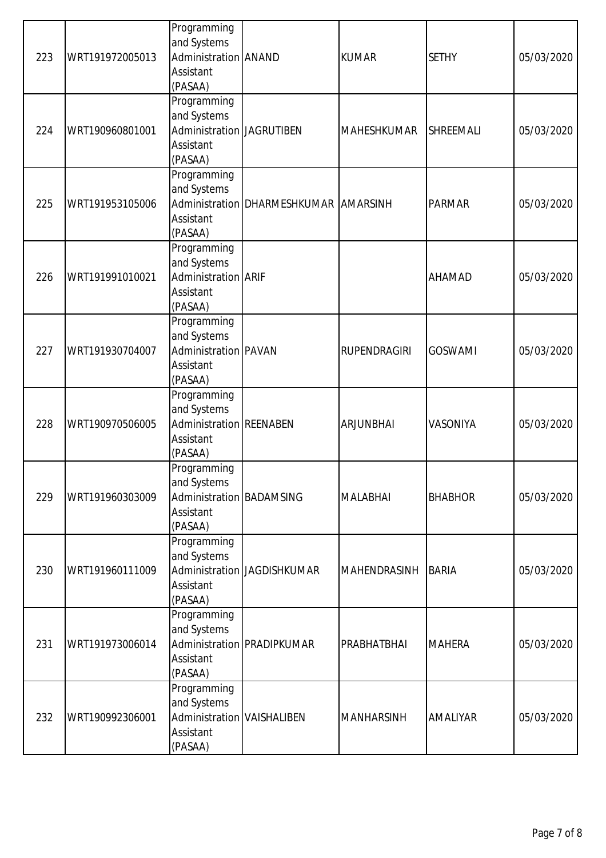| 223 | WRT191972005013 | Programming<br>and Systems<br>Administration ANAND<br>Assistant<br>(PASAA)       |                                       | <b>KUMAR</b>        | <b>SETHY</b>     | 05/03/2020 |
|-----|-----------------|----------------------------------------------------------------------------------|---------------------------------------|---------------------|------------------|------------|
| 224 | WRT190960801001 | Programming<br>and Systems<br>Administration JAGRUTIBEN<br>Assistant<br>(PASAA)  |                                       | <b>MAHESHKUMAR</b>  | <b>SHREEMALI</b> | 05/03/2020 |
| 225 | WRT191953105006 | Programming<br>and Systems<br>Assistant<br>(PASAA)                               | Administration DHARMESHKUMAR AMARSINH |                     | <b>PARMAR</b>    | 05/03/2020 |
| 226 | WRT191991010021 | Programming<br>and Systems<br>Administration ARIF<br>Assistant<br>(PASAA)        |                                       |                     | <b>AHAMAD</b>    | 05/03/2020 |
| 227 | WRT191930704007 | Programming<br>and Systems<br>Administration PAVAN<br>Assistant<br>(PASAA)       |                                       | RUPENDRAGIRI        | <b>GOSWAMI</b>   | 05/03/2020 |
| 228 | WRT190970506005 | Programming<br>and Systems<br>Administration REENABEN<br>Assistant<br>(PASAA)    |                                       | <b>ARJUNBHAI</b>    | <b>VASONIYA</b>  | 05/03/2020 |
| 229 | WRT191960303009 | Programming<br>and Systems<br>Administration BADAMSING<br>Assistant<br>(PASAA)   |                                       | <b>MALABHAI</b>     | <b>BHABHOR</b>   | 05/03/2020 |
| 230 | WRT191960111009 | Programming<br>and Systems<br>Assistant<br>(PASAA)                               | Administration JAGDISHKUMAR           | <b>MAHENDRASINH</b> | <b>BARIA</b>     | 05/03/2020 |
| 231 | WRT191973006014 | Programming<br>and Systems<br>Assistant<br>(PASAA)                               | Administration PRADIPKUMAR            | PRABHATBHAI         | <b>MAHERA</b>    | 05/03/2020 |
| 232 | WRT190992306001 | Programming<br>and Systems<br>Administration VAISHALIBEN<br>Assistant<br>(PASAA) |                                       | <b>MANHARSINH</b>   | <b>AMALIYAR</b>  | 05/03/2020 |